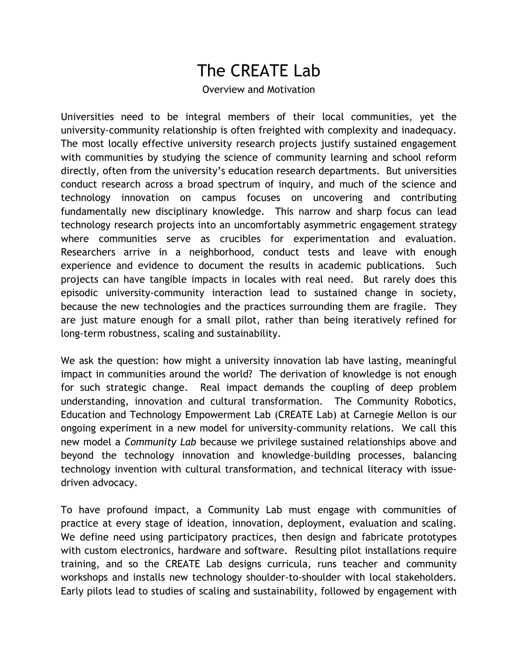## The CREATE Lab

## Overview and Motivation

Universities need to be integral members of their local communities, yet the university-community relationship is often freighted with complexity and inadequacy. The most locally effective university research projects justify sustained engagement with communities by studying the science of community learning and school reform directly, often from the university's education research departments. But universities conduct research across a broad spectrum of inquiry, and much of the science and technology innovation on campus focuses on uncovering and contributing fundamentally new disciplinary knowledge. This narrow and sharp focus can lead technology research projects into an uncomfortably asymmetric engagement strategy where communities serve as crucibles for experimentation and evaluation. Researchers arrive in a neighborhood, conduct tests and leave with enough experience and evidence to document the results in academic publications. Such projects can have tangible impacts in locales with real need. But rarely does this episodic university-community interaction lead to sustained change in society, because the new technologies and the practices surrounding them are fragile. They are just mature enough for a small pilot, rather than being iteratively refined for long-term robustness, scaling and sustainability.

We ask the question: how might a university innovation lab have lasting, meaningful impact in communities around the world? The derivation of knowledge is not enough for such strategic change. Real impact demands the coupling of deep problem understanding, innovation and cultural transformation. The Community Robotics, Education and Technology Empowerment Lab (CREATE Lab) at Carnegie Mellon is our ongoing experiment in a new model for university-community relations. We call this new model a *Community Lab* because we privilege sustained relationships above and beyond the technology innovation and knowledge-building processes, balancing technology invention with cultural transformation, and technical literacy with issuedriven advocacy.

To have profound impact, a Community Lab must engage with communities of practice at every stage of ideation, innovation, deployment, evaluation and scaling. We define need using participatory practices, then design and fabricate prototypes with custom electronics, hardware and software. Resulting pilot installations require training, and so the CREATE Lab designs curricula, runs teacher and community workshops and installs new technology shoulder-to-shoulder with local stakeholders. Early pilots lead to studies of scaling and sustainability, followed by engagement with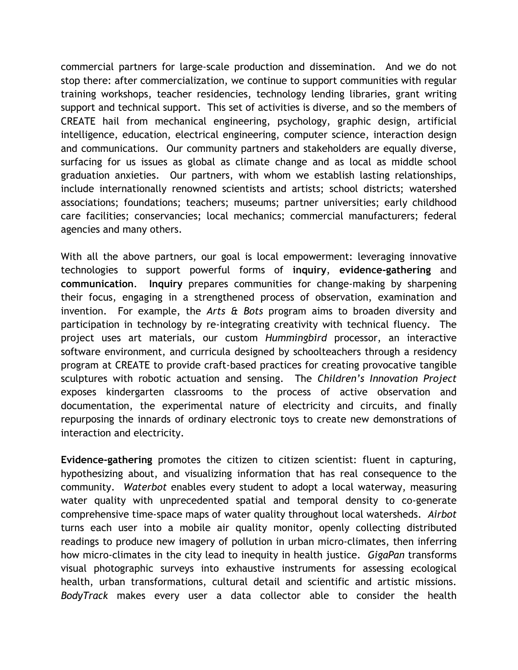commercial partners for large-scale production and dissemination. And we do not stop there: after commercialization, we continue to support communities with regular training workshops, teacher residencies, technology lending libraries, grant writing support and technical support. This set of activities is diverse, and so the members of CREATE hail from mechanical engineering, psychology, graphic design, artificial intelligence, education, electrical engineering, computer science, interaction design and communications. Our community partners and stakeholders are equally diverse, surfacing for us issues as global as climate change and as local as middle school graduation anxieties. Our partners, with whom we establish lasting relationships, include internationally renowned scientists and artists; school districts; watershed associations; foundations; teachers; museums; partner universities; early childhood care facilities; conservancies; local mechanics; commercial manufacturers; federal agencies and many others.

With all the above partners, our goal is local empowerment: leveraging innovative technologies to support powerful forms of **inquiry**, **evidence-gathering** and **communication**. **Inquiry** prepares communities for change-making by sharpening their focus, engaging in a strengthened process of observation, examination and invention. For example, the *Arts & Bots* program aims to broaden diversity and participation in technology by re-integrating creativity with technical fluency. The project uses art materials, our custom *Hummingbird* processor, an interactive software environment, and curricula designed by schoolteachers through a residency program at CREATE to provide craft-based practices for creating provocative tangible sculptures with robotic actuation and sensing. The *Children's Innovation Project* exposes kindergarten classrooms to the process of active observation and documentation, the experimental nature of electricity and circuits, and finally repurposing the innards of ordinary electronic toys to create new demonstrations of interaction and electricity.

**Evidence-gathering** promotes the citizen to citizen scientist: fluent in capturing, hypothesizing about, and visualizing information that has real consequence to the community. *Waterbot* enables every student to adopt a local waterway, measuring water quality with unprecedented spatial and temporal density to co-generate comprehensive time-space maps of water quality throughout local watersheds. *Airbot* turns each user into a mobile air quality monitor, openly collecting distributed readings to produce new imagery of pollution in urban micro-climates, then inferring how micro-climates in the city lead to inequity in health justice. *GigaPan* transforms visual photographic surveys into exhaustive instruments for assessing ecological health, urban transformations, cultural detail and scientific and artistic missions. *BodyTrack* makes every user a data collector able to consider the health